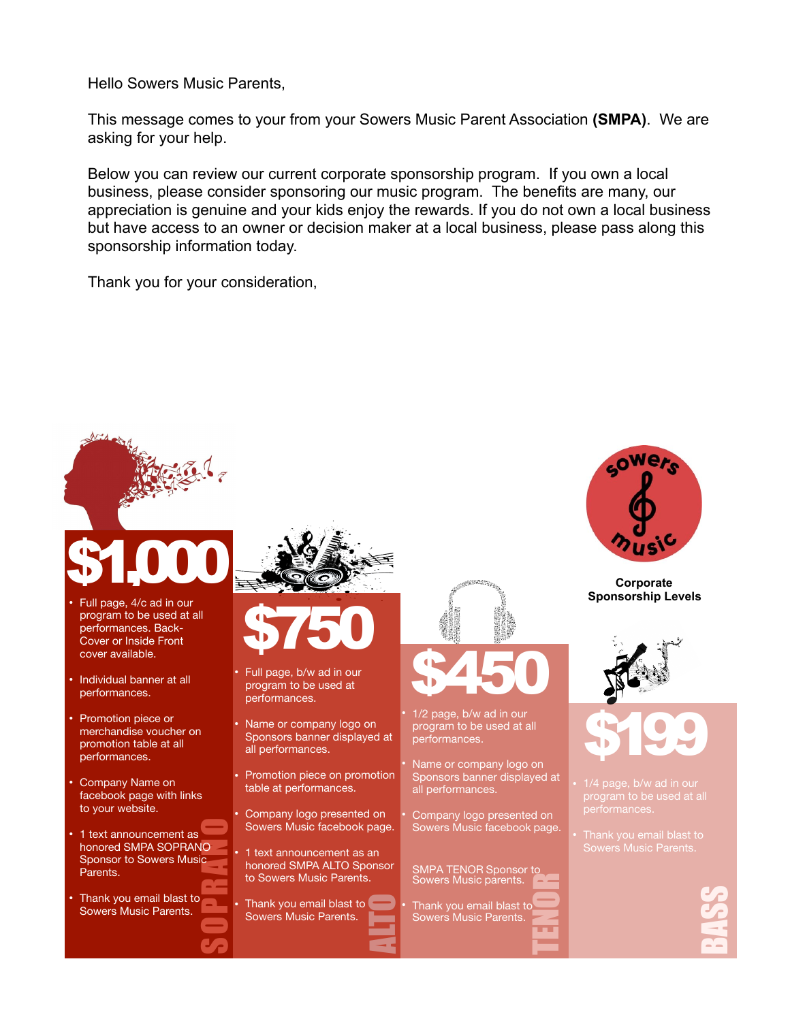Hello Sowers Music Parents,

This message comes to your from your Sowers Music Parent Association **(SMPA)**. We are asking for your help.

Below you can review our current corporate sponsorship program. If you own a local business, please consider sponsoring our music program. The benefits are many, our appreciation is genuine and your kids enjoy the rewards. If you do not own a local business but have access to an owner or decision maker at a local business, please pass along this sponsorship information today.

Thank you for your consideration,



**BASS**